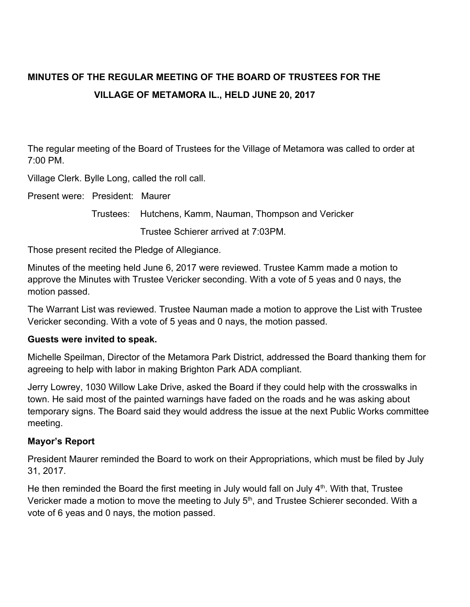# **MINUTES OF THE REGULAR MEETING OF THE BOARD OF TRUSTEES FOR THE VILLAGE OF METAMORA IL., HELD JUNE 20, 2017**

The regular meeting of the Board of Trustees for the Village of Metamora was called to order at 7:00 PM.

Village Clerk. Bylle Long, called the roll call.

Present were: President: Maurer

Trustees: Hutchens, Kamm, Nauman, Thompson and Vericker

Trustee Schierer arrived at 7:03PM.

Those present recited the Pledge of Allegiance.

Minutes of the meeting held June 6, 2017 were reviewed. Trustee Kamm made a motion to approve the Minutes with Trustee Vericker seconding. With a vote of 5 yeas and 0 nays, the motion passed.

The Warrant List was reviewed. Trustee Nauman made a motion to approve the List with Trustee Vericker seconding. With a vote of 5 yeas and 0 nays, the motion passed.

#### **Guests were invited to speak.**

Michelle Speilman, Director of the Metamora Park District, addressed the Board thanking them for agreeing to help with labor in making Brighton Park ADA compliant.

Jerry Lowrey, 1030 Willow Lake Drive, asked the Board if they could help with the crosswalks in town. He said most of the painted warnings have faded on the roads and he was asking about temporary signs. The Board said they would address the issue at the next Public Works committee meeting.

#### **Mayor's Report**

President Maurer reminded the Board to work on their Appropriations, which must be filed by July 31, 2017.

He then reminded the Board the first meeting in July would fall on July  $4<sup>th</sup>$ . With that, Trustee Vericker made a motion to move the meeting to July 5<sup>th</sup>, and Trustee Schierer seconded. With a vote of 6 yeas and 0 nays, the motion passed.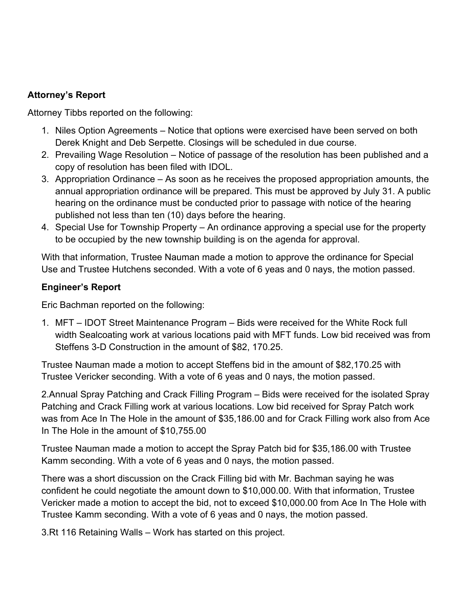# **Attorney's Report**

Attorney Tibbs reported on the following:

- 1. Niles Option Agreements Notice that options were exercised have been served on both Derek Knight and Deb Serpette. Closings will be scheduled in due course.
- 2. Prevailing Wage Resolution Notice of passage of the resolution has been published and a copy of resolution has been filed with IDOL.
- 3. Appropriation Ordinance As soon as he receives the proposed appropriation amounts, the annual appropriation ordinance will be prepared. This must be approved by July 31. A public hearing on the ordinance must be conducted prior to passage with notice of the hearing published not less than ten (10) days before the hearing.
- 4. Special Use for Township Property An ordinance approving a special use for the property to be occupied by the new township building is on the agenda for approval.

With that information, Trustee Nauman made a motion to approve the ordinance for Special Use and Trustee Hutchens seconded. With a vote of 6 yeas and 0 nays, the motion passed.

# **Engineer's Report**

Eric Bachman reported on the following:

1. MFT – IDOT Street Maintenance Program – Bids were received for the White Rock full width Sealcoating work at various locations paid with MFT funds. Low bid received was from Steffens 3-D Construction in the amount of \$82, 170.25.

Trustee Nauman made a motion to accept Steffens bid in the amount of \$82,170.25 with Trustee Vericker seconding. With a vote of 6 yeas and 0 nays, the motion passed.

2.Annual Spray Patching and Crack Filling Program – Bids were received for the isolated Spray Patching and Crack Filling work at various locations. Low bid received for Spray Patch work was from Ace In The Hole in the amount of \$35,186.00 and for Crack Filling work also from Ace In The Hole in the amount of \$10,755.00

Trustee Nauman made a motion to accept the Spray Patch bid for \$35,186.00 with Trustee Kamm seconding. With a vote of 6 yeas and 0 nays, the motion passed.

There was a short discussion on the Crack Filling bid with Mr. Bachman saying he was confident he could negotiate the amount down to \$10,000.00. With that information, Trustee Vericker made a motion to accept the bid, not to exceed \$10,000.00 from Ace In The Hole with Trustee Kamm seconding. With a vote of 6 yeas and 0 nays, the motion passed.

3.Rt 116 Retaining Walls – Work has started on this project.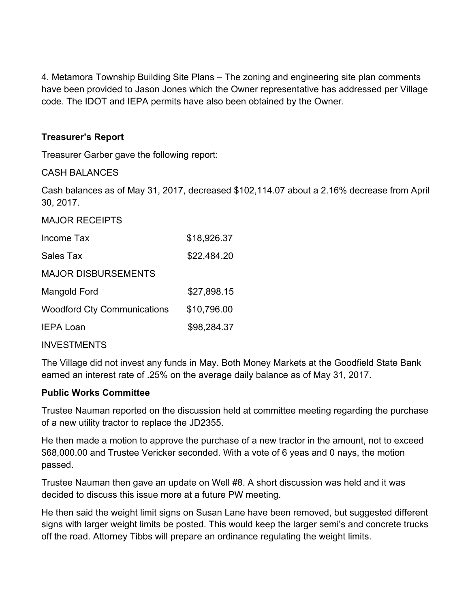4. Metamora Township Building Site Plans – The zoning and engineering site plan comments have been provided to Jason Jones which the Owner representative has addressed per Village code. The IDOT and IEPA permits have also been obtained by the Owner.

## **Treasurer's Report**

Treasurer Garber gave the following report:

### CASH BALANCES

Cash balances as of May 31, 2017, decreased \$102,114.07 about a 2.16% decrease from April 30, 2017.

## MAJOR RECEIPTS

| Income Tax                         | \$18,926.37 |
|------------------------------------|-------------|
| Sales Tax                          | \$22,484.20 |
| <b>MAJOR DISBURSEMENTS</b>         |             |
| Mangold Ford                       | \$27,898.15 |
| <b>Woodford Cty Communications</b> | \$10,796.00 |
| <b>IEPA Loan</b>                   | \$98,284.37 |

#### INVESTMENTS

The Village did not invest any funds in May. Both Money Markets at the Goodfield State Bank earned an interest rate of .25% on the average daily balance as of May 31, 2017.

#### **Public Works Committee**

Trustee Nauman reported on the discussion held at committee meeting regarding the purchase of a new utility tractor to replace the JD2355.

He then made a motion to approve the purchase of a new tractor in the amount, not to exceed \$68,000.00 and Trustee Vericker seconded. With a vote of 6 yeas and 0 nays, the motion passed.

Trustee Nauman then gave an update on Well #8. A short discussion was held and it was decided to discuss this issue more at a future PW meeting.

He then said the weight limit signs on Susan Lane have been removed, but suggested different signs with larger weight limits be posted. This would keep the larger semi's and concrete trucks off the road. Attorney Tibbs will prepare an ordinance regulating the weight limits.